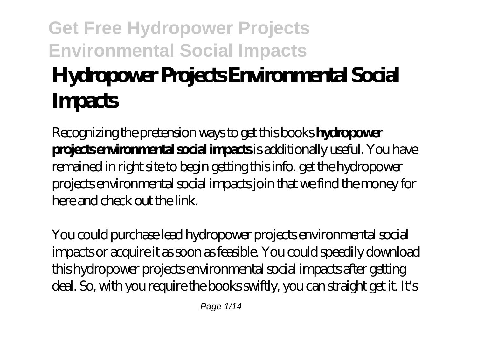# **Get Free Hydropower Projects Environmental Social Impacts Hydropower Projects Environmental Social Impacts**

Recognizing the pretension ways to get this books **hydropower projects environmental social impacts** is additionally useful. You have remained in right site to begin getting this info. get the hydropower projects environmental social impacts join that we find the money for here and check out the link.

You could purchase lead hydropower projects environmental social impacts or acquire it as soon as feasible. You could speedily download this hydropower projects environmental social impacts after getting deal. So, with you require the books swiftly, you can straight get it. It's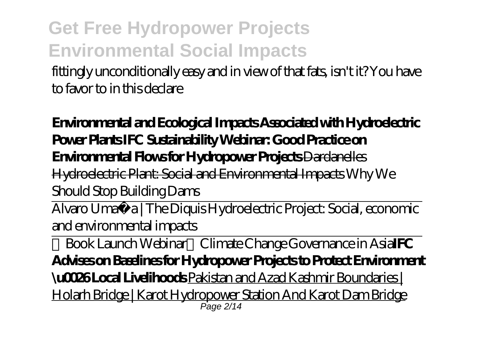fittingly unconditionally easy and in view of that fats, isn't it? You have to favor to in this declare

**Environmental and Ecological Impacts Associated with Hydroelectric Power Plants IFC Sustainability Webinar: Good Practice on Environmental Flows for Hydropower Projects** Dardanelles Hydroelectric Plant: Social and Environmental Impacts Why We Should Stop Building Dams

Alvaro Umaña | The Diquis Hydroelectric Project: Social, economic and environmental impacts

【Book Launch Webinar】Climate Change Governance in Asia**IFC Advises on Baselines for Hydropower Projects to Protect Environment \u0026 Local Livelihoods** Pakistan and Azad Kashmir Boundaries | Holarh Bridge | Karot Hydropower Station And Karot Dam Bridge Page 2/14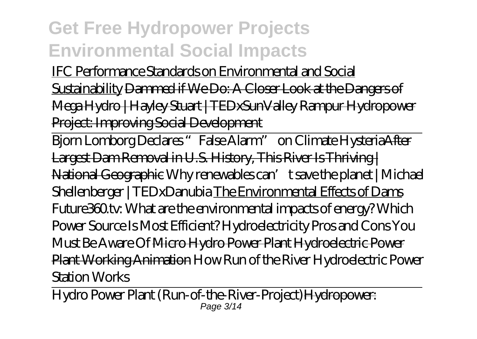IFC Performance Standards on Environmental and Social Sustainability Dammed if We Do: A Closer Look at the Dangers of Mega Hydro | Hayley Stuart | TEDxSunValley Rampur Hydropower Project: Improving Social Development

Bjorn Lomborg Declares "False Alarm" on Climate HysteriaAfter Largest Dam Removal in U.S. History, This River Is Thriving | National Geographic *Why renewables can't save the planet | Michael Shellenberger | TEDxDanubia* The Environmental Effects of Dams Future360.tv: What are the environmental impacts of energy? Which Power Source Is Most Efficient? Hydroelectricity Pros and Cons You Must Be Aware Of Micro Hydro Power Plant Hydroelectric Power Plant Working Animation *How Run of the River Hydroelectric Power Station Works*

Hydro Power Plant (Run-of-the-River-Project) Hydropower: Page 3/14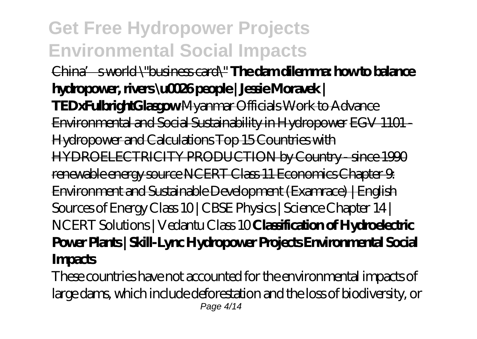China's world \"business card\" **The dam dilemma: how to balance hydropower, rivers \u0026 people | Jessie Moravek | TEDxFulbrightGlasgow** Myanmar Officials Work to Advance Environmental and Social Sustainability in Hydropower EGV 1101 - Hydropower and Calculations Top 15 Countries with HYDROELECTRICITY PRODUCTION by Country - since 1990 renewable energy source NCERT Class 11 Economics Chapter 9: Environment and Sustainable Development (Examrace) | English Sources of Energy Class 10 | CBSE Physics | Science Chapter 14 | NCERT Solutions | Vedantu Class 10 **Classification of Hydroelectric Power Plants | Skill-Lync Hydropower Projects Environmental Social Impacts**

These countries have not accounted for the environmental impacts of large dams, which include deforestation and the loss of biodiversity, or Page 4/14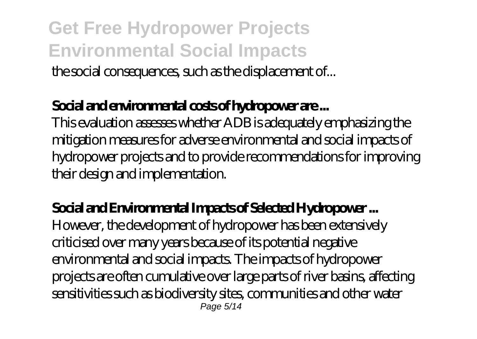### **Get Free Hydropower Projects Environmental Social Impacts** the social consequences, such as the displacement of...

#### **Social and environmental costs of hydropower are ...**

This evaluation assesses whether ADB is adequately emphasizing the mitigation measures for adverse environmental and social impacts of hydropower projects and to provide recommendations for improving their design and implementation.

**Social and Environmental Impacts of Selected Hydropower ...** However, the development of hydropower has been extensively criticised over many years because of its potential negative environmental and social impacts. The impacts of hydropower projects are often cumulative over large parts of river basins, affecting sensitivities such as biodiversity sites, communities and other water Page 5/14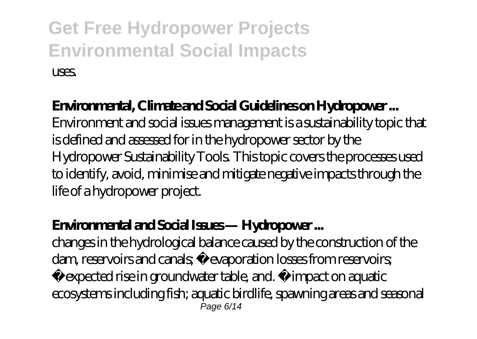#### **Environmental, Climate and Social Guidelines on Hydropower ...**

Environment and social issues management is a sustainability topic that is defined and assessed for in the hydropower sector by the Hydropower Sustainability Tools. This topic covers the processes used to identify, avoid, minimise and mitigate negative impacts through the life of a hydropower project.

#### **Environmental and Social Issues — Hydropower ...**

changes in the hydrological balance caused by the construction of the dam, reservoirs and canals; • evaporation losses from reservoirs;

• expected rise in groundwater table, and. • impact on aquatic ecosystems including fish; aquatic birdlife, spawning areas and seasonal Page 6/14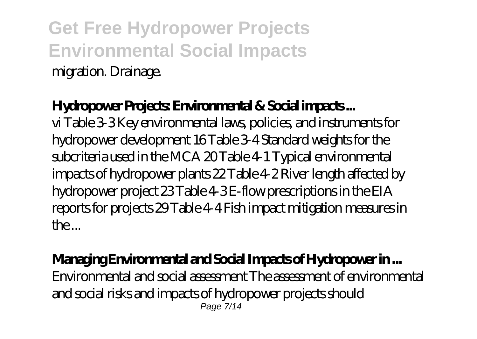### **Get Free Hydropower Projects Environmental Social Impacts** migration. Drainage.

#### **Hydropower Projects: Environmental & Social impacts ...**

vi Table 3-3 Key environmental laws, policies, and instruments for hydropower development 16 Table 3-4 Standard weights for the subcriteria used in the MCA 20 Table 4-1 Typical environmental impacts of hydropower plants 22 Table 4-2 River length affected by hydropower project 23 Table 4-3 E-flow prescriptions in the EIA reports for projects 29 Table 4-4 Fish impact mitigation measures in the ...

#### **Managing Environmental and Social Impacts of Hydropower in ...**

Environmental and social assessment The assessment of environmental and social risks and impacts of hydropower projects should Page 7/14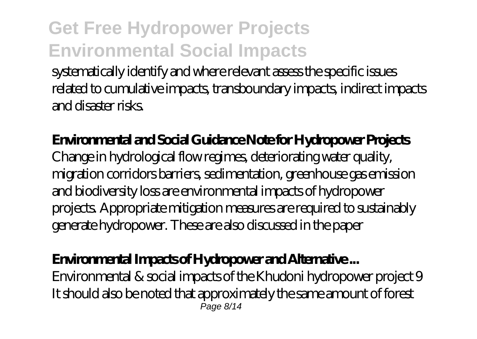systematically identify and where relevant assess the specific issues related to cumulative impacts, transboundary impacts, indirect impacts and disaster risks.

#### **Environmental and Social Guidance Note for Hydropower Projects**

Change in hydrological flow regimes, deteriorating water quality, migration corridors barriers, sedimentation, greenhouse gas emission and biodiversity loss are environmental impacts of hydropower projects. Appropriate mitigation measures are required to sustainably generate hydropower. These are also discussed in the paper

#### **Environmental Impacts of Hydropower and Alternative ...**

Environmental & social impacts of the Khudoni hydropower project 9 It should also be noted that approximately the same amount of forest Page 8/14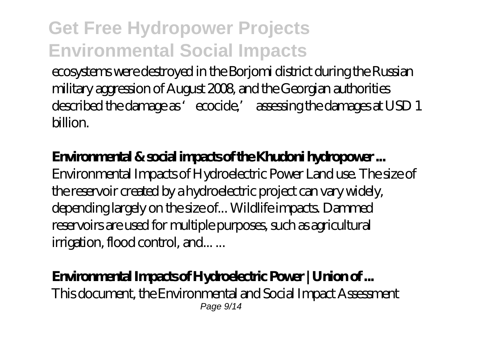ecosystems were destroyed in the Borjomi district during the Russian military aggression of August 2008, and the Georgian authorities described the damage as 'ecocide,' assessing the damages at USD 1 billion.

#### **Environmental & social impacts of the Khudoni hydropower ...**

Environmental Impacts of Hydroelectric Power Land use. The size of the reservoir created by a hydroelectric project can vary widely, depending largely on the size of... Wildlife impacts. Dammed reservoirs are used for multiple purposes, such as agricultural irrigation, flood control, and... ...

#### **Environmental Impacts of Hydroelectric Power | Union of ...**

This document, the Environmental and Social Impact Assessment Page 9/14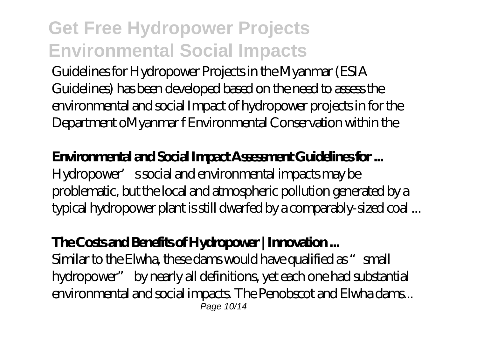Guidelines for Hydropower Projects in the Myanmar (ESIA Guidelines) has been developed based on the need to assess the environmental and social Impact of hydropower projects in for the Department oMyanmar f Environmental Conservation within the

#### **Environmental and Social Impact Assessment Guidelines for ...**

Hydropower's social and environmental impacts may be problematic, but the local and atmospheric pollution generated by a typical hydropower plant is still dwarfed by a comparably-sized coal ...

#### **The Costs and Benefits of Hydropower | Innovation ...**

Similar to the Elwha, these dams would have qualified as "small hydropower" by nearly all definitions, yet each one had substantial environmental and social impacts. The Penobscot and Elwha dams... Page 10/14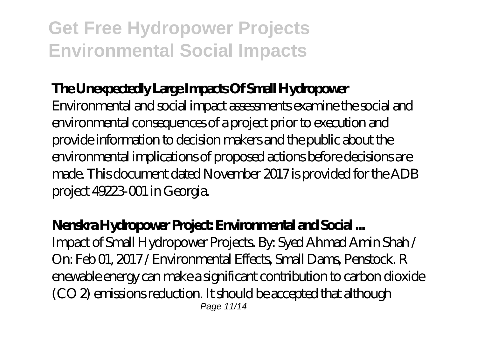#### **The Unexpectedly Large Impacts Of Small Hydropower**

Environmental and social impact assessments examine the social and environmental consequences of a project prior to execution and provide information to decision makers and the public about the environmental implications of proposed actions before decisions are made. This document dated November 2017 is provided for the ADB project 49223-001 in Georgia.

#### **Nenskra Hydropower Project: Environmental and Social ...**

Impact of Small Hydropower Projects. By: Syed Ahmad Amin Shah / On: Feb 01, 2017 / Environmental Effects, Small Dams, Penstock. R enewable energy can make a significant contribution to carbon dioxide (CO 2) emissions reduction. It should be accepted that although Page 11/14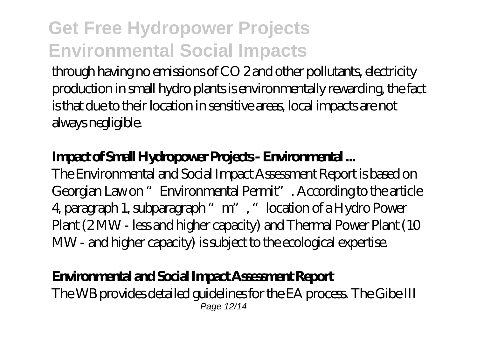through having no emissions of CO 2 and other pollutants, electricity production in small hydro plants is environmentally rewarding, the fact is that due to their location in sensitive areas, local impacts are not always negligible.

#### **Impact of Small Hydropower Projects - Environmental ...**

The Environmental and Social Impact Assessment Report is based on Georgian Law on "Environmental Permit". According to the article 4, paragraph 1, subparagraph "m", "location of a Hydro Power Plant (2 MW - less and higher capacity) and Thermal Power Plant (10 MW - and higher capacity) is subject to the ecological expertise.

#### **Environmental and Social Impact Assessment Report**

The WB provides detailed guidelines for the EA process. The Gibe III Page 12/14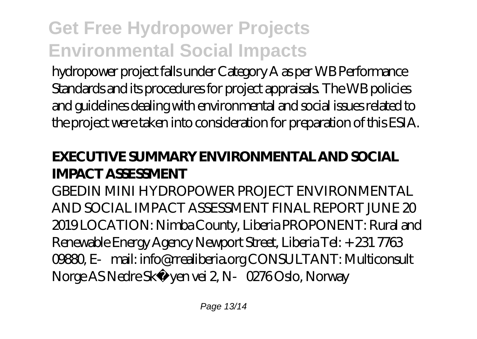hydropower project falls under Category A as per WB Performance Standards and its procedures for project appraisals. The WB policies and guidelines dealing with environmental and social issues related to the project were taken into consideration for preparation of this ESIA.

#### **EXECUTIVE SUMMARY ENVIRONMENTAL AND SOCIAL IMPACT ASSESSMENT**

GBEDIN MINI HYDROPOWER PROJECT ENVIRONMENTAL AND SOCIAL IMPACT ASSESSMENT FINAL REPORT JUNE 20 2019 LOCATION: Nimba County, Liberia PROPONENT: Rural and Renewable Energy Agency Newport Street, Liberia Tel: + 231 7763 09880, E‐mail: info@rrealiberia.org CONSULTANT: Multiconsult Norge AS Nedre Skøyen vei 2, N 0276 Oslo, Norway